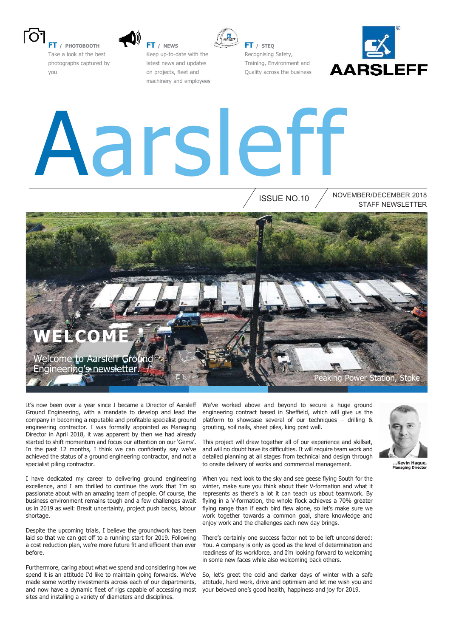

**FT / PHOTOBOOTH** Take a look at the best photographs captured by you



**FT / NEWS** Keep up-to-date with the latest news and updates on projects, fleet and machinery and employees



**FT / STEQ** Recognising Safety, Training, Environment and Quality across the business



# Aarsleff

ISSUE NO.10

STAFF NEWSLETTER NOVEMBER/DECEMBER 2018



It's now been over a year since I became a Director of Aarsleff Ground Engineering, with a mandate to develop and lead the company in becoming a reputable and profitable specialist ground engineering contractor. I was formally appointed as Managing Director in April 2018, it was apparent by then we had already started to shift momentum and focus our attention on our 'Gems'. In the past 12 months, I think we can confidently say we've achieved the status of a ground engineering contractor, and not a specialist piling contractor.

I have dedicated my career to delivering ground engineering excellence, and I am thrilled to continue the work that I'm so passionate about with an amazing team of people. Of course, the business environment remains tough and a few challenges await us in 2019 as well: Brexit uncertainty, project push backs, labour shortage.

Despite the upcoming trials, I believe the groundwork has been laid so that we can get off to a running start for 2019. Following a cost reduction plan, we're more future fit and efficient than ever before.

Furthermore, caring about what we spend and considering how we spend it is an attitude I'd like to maintain going forwards. We've made some worthy investments across each of our departments, and now have a dynamic fleet of rigs capable of accessing most sites and installing a variety of diameters and disciplines.

We've worked above and beyond to secure a huge ground engineering contract based in Sheffield, which will give us the platform to showcase several of our techniques – drilling & grouting, soil nails, sheet piles, king post wall.

This project will draw together all of our experience and skillset, and will no doubt have its difficulties. It will require team work and detailed planning at all stages from technical and design through to onsite delivery of works and commercial management.

When you next look to the sky and see geese flying South for the winter, make sure you think about their V-formation and what it represents as there's a lot it can teach us about teamwork. By flying in a V-formation, the whole flock achieves a 70% greater flying range than if each bird flew alone, so let's make sure we work together towards a common goal, share knowledge and enjoy work and the challenges each new day brings.

There's certainly one success factor not to be left unconsidered: You. A company is only as good as the level of determination and readiness of its workforce, and I'm looking forward to welcoming in some new faces while also welcoming back others.

So, let's greet the cold and darker days of winter with a safe attitude, hard work, drive and optimism and let me wish you and your beloved one's good health, happiness and joy for 2019.



**…Kevin Hague, Managing Director**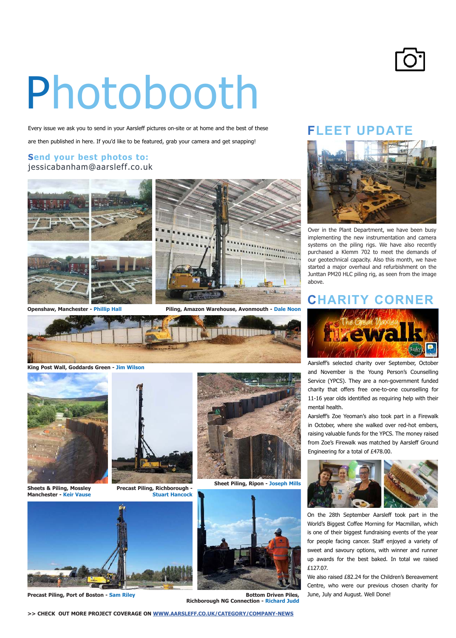## Photobooth

Every issue we ask you to send in your Aarsleff pictures on-site or at home and the best of these

are then published in here. If you'd like to be featured, grab your camera and get snapping!

#### **Send your best photos to:** jessicabanham@aarsleff.co.uk



**Openshaw, Manchester - Phillip Hall**



**Piling, Amazon Warehouse, Avonmouth - Dale Noon**



**King Post Wall, Goddards Green - Jim Wilson**



**Sheets & Piling, Mossley Manchester - Keir Vause**



**Precast Piling, Richborough - Stuart Hancock**



**Sheet Piling, Ripon - Joseph Mills**



**Precast Piling, Port of Boston - Sam Riley**



**Bottom Driven Piles, Richborough NG Connection - Richard Judd**

#### **FLEET UPDATE**



Over in the Plant Department, we have been busy implementing the new instrumentation and camera systems on the piling rigs. We have also recently purchased a Klemm 702 to meet the demands of our geotechnical capacity. Also this month, we have started a major overhaul and refurbishment on the Junttan PM20 HLC piling rig, as seen from the image above.

#### **CHARITY CORNER**



Aarslef's selected charity over September, October and November is the Young Person's Counselling Service (YPCS). They are a non-government funded charity that offers free one-to-one counselling for 11-16 year olds identified as requiring help with their mental health.

Aarslef's Zoe Yeoman's also took part in a Firewalk in October, where she walked over red-hot embers, raising valuable funds for the YPCS. The money raised from Zoe's Firewalk was matched by Aarsleff Ground Engineering for a total of £478.00.



On the 28th September Aarsleff took part in the World's Biggest Coffee Morning for Macmillan, which is one of their biggest fundraising events of the year for people facing cancer. Staff enjoyed a variety of sweet and savoury options, with winner and runner up awards for the best baked. In total we raised £127.07.

We also raised £82.24 for the Children's Bereavement Centre, who were our previous chosen charity for June, July and August. Well Done!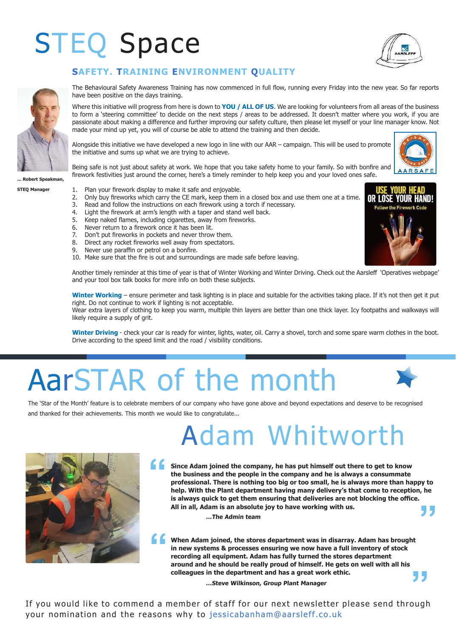### STEQ Space





The Behavioural Safety Awareness Training has now commenced in full flow, running every Friday into the new year. So far reports have been positive on the days training.

Where this initiative will progress from here is down to **YOU / ALL OF US**. We are looking for volunteers from all areas of the business to form a 'steering committee' to decide on the next steps / areas to be addressed. It doesn't matter where you work, if you are passionate about making a diference and further improving our safety culture, then please let myself or your line manager know. Not made your mind up yet, you will of course be able to attend the training and then decide.

Alongside this initiative we have developed a new logo in line with our AAR – campaign. This will be used to promote the initiative and sums up what we are trying to achieve.



**"**

Being safe is not just about safety at work. We hope that you take safety home to your family. So with bonire and firework festivities just around the corner, here's a timely reminder to help keep you and your loved ones safe.

#### **... Robert Speakman,**

#### **STEQ Manager**

- 1. Plan your firework display to make it safe and enjoyable.
- 2. Only buy fireworks which carry the CE mark, keep them in a closed box and use them one at a time.<br>3. Read and follow the instructions on each firework using a torch if necessary.
- Read and follow the instructions on each firework using a torch if necessary.
- 4. Light the firework at arm's length with a taper and stand well back.<br>5. Keep naked flames, including cigarettes, away from fireworks.
- 5. Keep naked flames, including cigarettes, away from fireworks.<br>6. Never return to a firework once it has been lit.
- 
- 6. Never return to a firework once it has been lit.<br>7. Don't put fireworks in pockets and never throw
- 7. Don't put fireworks in pockets and never throw them.<br>8. Direct any rocket fireworks well away from spectators 8. Direct any rocket fireworks well away from spectators.<br>9. Never use paraffin or petrol on a bonfire
- Never use paraffin or petrol on a bonfire.
- 10. Make sure that the fire is out and surroundings are made safe before leaving.

Another timely reminder at this time of year is that of Winter Working and Winter Driving. Check out the Aarslef 'Operatives webpage' and your tool box talk books for more info on both these subjects.

**Winter Working** – ensure perimeter and task lighting is in place and suitable for the activities taking place. If it's not then get it put right. Do not continue to work if lighting is not acceptable.

Wear extra layers of clothing to keep you warm, multiple thin layers are better than one thick layer. Icy footpaths and walkways will likely require a supply of grit.

Winter Driving - check your car is ready for winter, lights, water, oil. Carry a shovel, torch and some spare warm clothes in the boot. Drive according to the speed limit and the road / visibility conditions.

### AarSTAR of the month

The 'Star of the Month' feature is to celebrate members of our company who have gone above and beyond expectations and deserve to be recognised and thanked for their achievements. This month we would like to congratulate...

### Adam Whitworth

**" Since Adam joined the company, he has put himself out there to get to know the business and the people in the company and he is always a consummate professional. There is nothing too big or too small, he is always more than happy to help. With the Plant department having many delivery's that come to reception, he**  is always quick to get them ensuring that deliveries are not blocking the office. **All in all, Adam is an absolute joy to have working with us. "**

**…The Admin team**

**" When Adam joined, the stores department was in disarray. Adam has brought in new systems & processes ensuring we now have a full inventory of stock recording all equipment. Adam has fully turned the stores department around and he should be really proud of himself. He gets on well with all his colleagues in the department and has a great work ethic.**

**…Steve Wilkinson, Group Plant Manager**

If you would like to commend a member of staff for our next newsletter please send through your nomination and the reasons why to jessicabanham@aarsleff.co.uk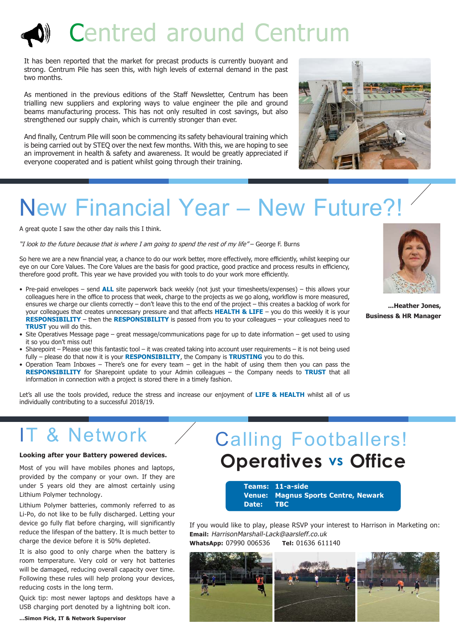### Centred around Centrum

It has been reported that the market for precast products is currently buoyant and strong. Centrum Pile has seen this, with high levels of external demand in the past two months.

As mentioned in the previous editions of the Staff Newsletter, Centrum has been trialling new suppliers and exploring ways to value engineer the pile and ground beams manufacturing process. This has not only resulted in cost savings, but also strengthened our supply chain, which is currently stronger than ever.

And finally, Centrum Pile will soon be commencing its safety behavioural training which is being carried out by STEQ over the next few months. With this, we are hoping to see an improvement in health & safety and awareness. It would be greatly appreciated if everyone cooperated and is patient whilst going through their training.



### New Financial Year – New Future?!

A great quote I saw the other day nails this I think.

"I look to the future because that is where I am going to spend the rest of my life" – George F. Burns

So here we are a new financial year, a chance to do our work better, more effectively, more efficiently, whilst keeping our eye on our Core Values. The Core Values are the basis for good practice, good practice and process results in efficiency, therefore good profit. This year we have provided you with tools to do your work more efficiently.

- Pre-paid envelopes send **ALL** site paperwork back weekly (not just your timesheets/expenses) this allows your colleagues here in the office to process that week, charge to the projects as we go along, workflow is more measured, ensures we charge our clients correctly – don't leave this to the end of the project – this creates a backlog of work for your colleagues that creates unnecessary pressure and that afects **HEALTH & LIFE** – you do this weekly it is your **RESPONSIBILITY** – then the **RESPONSIBILITY** is passed from you to your colleagues – your colleagues need to **TRUST** you will do this.
- Site Operatives Message page great message/communications page for up to date information get used to using it so you don't miss out!
- Sharepoint Please use this fantastic tool it was created taking into account user requirements it is not being used fully – please do that now it is your **RESPONSIBILITY**, the Company is **TRUSTING** you to do this.
- Operation Team Inboxes There's one for every team get in the habit of using them then you can pass the **RESPONSIBILITY** for Sharepoint update to your Admin colleagues – the Company needs to **TRUST** that all information in connection with a project is stored there in a timely fashion.

Let's all use the tools provided, reduce the stress and increase our enjoyment of **LIFE & HEALTH** whilst all of us individually contributing to a successful 2018/19.

### IT & Network

#### **Looking after your Battery powered devices.**

Most of you will have mobiles phones and laptops, provided by the company or your own. If they are under 5 years old they are almost certainly using Lithium Polymer technology.

Lithium Polymer batteries, commonly referred to as Li-Po, do not like to be fully discharged. Letting your device go fully flat before charging, will significantly reduce the lifespan of the battery. It is much better to charge the device before it is 50% depleted.

It is also good to only charge when the battery is room temperature. Very cold or very hot batteries will be damaged, reducing overall capacity over time. Following these rules will help prolong your devices, reducing costs in the long term.

Quick tip: most newer laptops and desktops have a USB charging port denoted by a lightning bolt icon.

#### **...Simon Pick, IT & Network Supervisor**

### **Operatives vs Office** Calling Footballers!

**Teams: 11-a-side Venue: Magnus Sports Centre, Newark Date: TBC**

If you would like to play, please RSVP your interest to Harrison in Marketing on: **Email:** HarrisonMarshall-Lack@aarsleff.co.uk **WhatsApp:** 07990 006536 **Tel:** 01636 611140





**...Heather Jones, Business & HR Manager**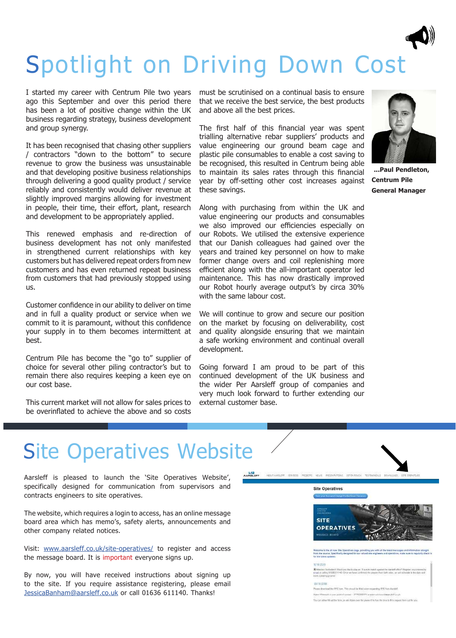### Spotlight on Driving Down Cost

I started my career with Centrum Pile two years ago this September and over this period there has been a lot of positive change within the UK business regarding strategy, business development and group synergy.

It has been recognised that chasing other suppliers / contractors "down to the bottom" to secure revenue to grow the business was unsustainable and that developing positive business relationships through delivering a good quality product / service reliably and consistently would deliver revenue at slightly improved margins allowing for investment in people, their time, their effort, plant, research and development to be appropriately applied.

This renewed emphasis and re-direction of business development has not only manifested in strengthened current relationships with key customers but has delivered repeat orders from new customers and has even returned repeat business from customers that had previously stopped using us.

Customer confidence in our ability to deliver on time and in full a quality product or service when we commit to it is paramount, without this confidence your supply in to them becomes intermittent at best.

Centrum Pile has become the "go to" supplier of choice for several other piling contractor's but to remain there also requires keeping a keen eye on our cost base.

This current market will not allow for sales prices to be overinlated to achieve the above and so costs

must be scrutinised on a continual basis to ensure that we receive the best service, the best products and above all the best prices.

The first half of this financial year was spent trialling alternative rebar suppliers' products and value engineering our ground beam cage and plastic pile consumables to enable a cost saving to be recognised, this resulted in Centrum being able to maintain its sales rates through this financial year by off-setting other cost increases against these savings.

Along with purchasing from within the UK and value engineering our products and consumables we also improved our efficiencies especially on our Robots. We utilised the extensive experience that our Danish colleagues had gained over the years and trained key personnel on how to make former change overs and coil replenishing more efficient along with the all-important operator led maintenance. This has now drastically improved our Robot hourly average output's by circa 30% with the same labour cost.

We will continue to grow and secure our position on the market by focusing on deliverability, cost and quality alongside ensuring that we maintain a safe working environment and continual overall development.

Going forward I am proud to be part of this continued development of the UK business and the wider Per Aarsleff group of companies and very much look forward to further extending our external customer base.



**...Paul Pendleton, Centrum Pile General Manager** 

### Site Operatives Website

Aarsleff is pleased to launch the 'Site Operatives Website', specifically designed for communication from supervisors and contracts engineers to site operatives.

The website, which requires a login to access, has an online message board area which has memo's, safety alerts, announcements and other company related notices.

Visit: www.aarsleff.co.uk/site-operatives/ to register and access the message board. It is important everyone signs up.

By now, you will have received instructions about signing up to the site. If you require assistance registering, please email JessicaBanham@aarsleff.co.uk or call 01636 611140. Thanks!